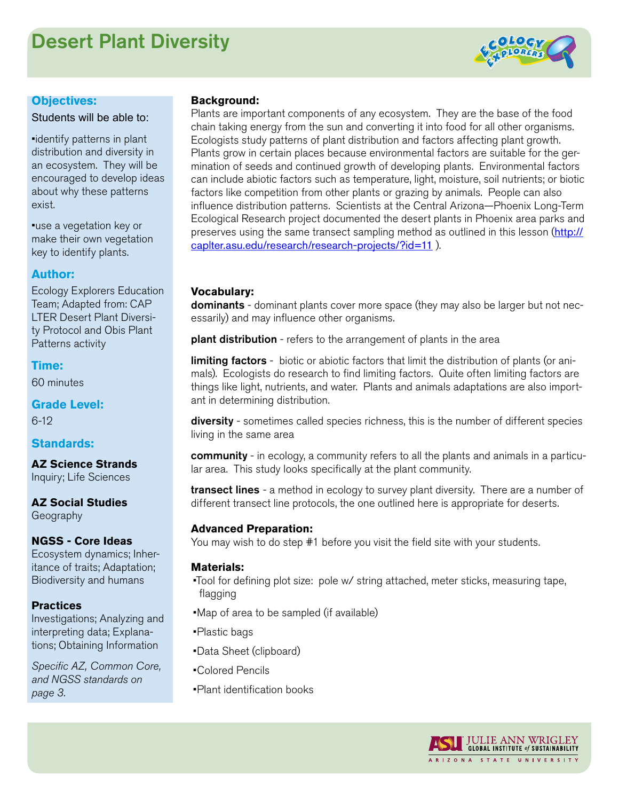# Desert Plant Diversity



#### **Objectives:**

Students will be able to:

•identify patterns in plant distribution and diversity in an ecosystem. They will be encouraged to develop ideas about why these patterns exist.

•use a vegetation key or make their own vegetation key to identify plants.

## **Author:**

Ecology Explorers Education Team; Adapted from: CAP LTER Desert Plant Diversity Protocol and Obis Plant Patterns activity

**Time:** 60 minutes

**Grade Level:** 6-12

# **Standards:**

**AZ Science Strands** Inquiry; Life Sciences

# **AZ Social Studies**

Geography

### **NGSS - Core Ideas**

Ecosystem dynamics; Inheritance of traits; Adaptation; Biodiversity and humans

### **Practices**

Investigations; Analyzing and interpreting data; Explanations; Obtaining Information

*Specific AZ, Common Core, and NGSS standards on page 3.*

#### **Background:**

Plants are important components of any ecosystem. They are the base of the food chain taking energy from the sun and converting it into food for all other organisms. Ecologists study patterns of plant distribution and factors affecting plant growth. Plants grow in certain places because environmental factors are suitable for the germination of seeds and continued growth of developing plants. Environmental factors can include abiotic factors such as temperature, light, moisture, soil nutrients; or biotic factors like competition from other plants or grazing by animals. People can also influence distribution patterns. Scientists at the Central Arizona—Phoenix Long-Term Ecological Research project documented the desert plants in Phoenix area parks and preserves using the same transect sampling method as outlined in this lesson ([http://](http://caplter.asu.edu/research/research-projects/?id=11) [caplter.asu.edu/research/research-projects/?id=11](http://caplter.asu.edu/research/research-projects/?id=11) ).

### **Vocabulary:**

dominants - dominant plants cover more space (they may also be larger but not necessarily) and may influence other organisms.

plant distribution - refers to the arrangement of plants in the area

**limiting factors** - biotic or abiotic factors that limit the distribution of plants (or animals). Ecologists do research to find limiting factors. Quite often limiting factors are things like light, nutrients, and water. Plants and animals adaptations are also important in determining distribution.

diversity - sometimes called species richness, this is the number of different species living in the same area

community - in ecology, a community refers to all the plants and animals in a particular area. This study looks specifically at the plant community.

**transect lines** - a method in ecology to survey plant diversity. There are a number of different transect line protocols, the one outlined here is appropriate for deserts.

### **Advanced Preparation:**

You may wish to do step #1 before you visit the field site with your students.

#### **Materials:**

•Tool for defining plot size: pole w/ string attached, meter sticks, measuring tape, flagging

•Map of area to be sampled (if available)

•Plastic bags

•Data Sheet (clipboard)

•Colored Pencils

•Plant identification books

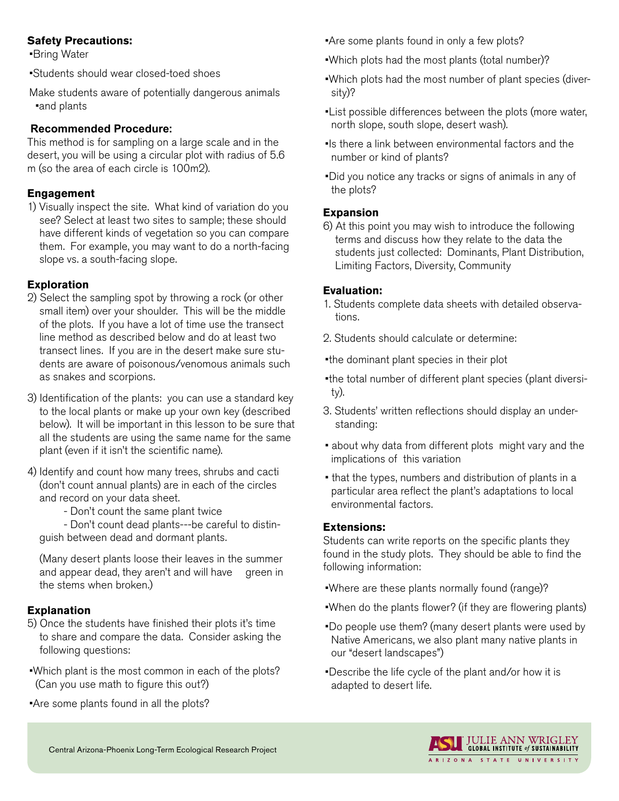# **Safety Precautions:**

•Bring Water

•Students should wear closed-toed shoes

Make students aware of potentially dangerous animals •and plants

# **Recommended Procedure:**

This method is for sampling on a large scale and in the desert, you will be using a circular plot with radius of 5.6 m (so the area of each circle is 100m2).

# **Engagement**

1) Visually inspect the site. What kind of variation do you see? Select at least two sites to sample; these should have different kinds of vegetation so you can compare them. For example, you may want to do a north-facing slope vs. a south-facing slope.

# **Exploration**

- 2) Select the sampling spot by throwing a rock (or other small item) over your shoulder. This will be the middle of the plots. If you have a lot of time use the transect line method as described below and do at least two transect lines. If you are in the desert make sure students are aware of poisonous/venomous animals such as snakes and scorpions.
- 3) Identification of the plants: you can use a standard key to the local plants or make up your own key (described below). It will be important in this lesson to be sure that all the students are using the same name for the same plant (even if it isn't the scientific name).
- 4) Identify and count how many trees, shrubs and cacti (don't count annual plants) are in each of the circles and record on your data sheet.

- Don't count the same plant twice

- Don't count dead plants---be careful to distinguish between dead and dormant plants.

(Many desert plants loose their leaves in the summer and appear dead, they aren't and will have green in the stems when broken.)

# **Explanation**

- 5) Once the students have finished their plots it's time to share and compare the data. Consider asking the following questions:
- •Which plant is the most common in each of the plots? (Can you use math to figure this out?)
- •Are some plants found in all the plots?
- •Are some plants found in only a few plots?
- •Which plots had the most plants (total number)?
- •Which plots had the most number of plant species (diversity)?
- •List possible differences between the plots (more water, north slope, south slope, desert wash).
- •Is there a link between environmental factors and the number or kind of plants?
- •Did you notice any tracks or signs of animals in any of the plots?

# **Expansion**

6) At this point you may wish to introduce the following terms and discuss how they relate to the data the students just collected: Dominants, Plant Distribution, Limiting Factors, Diversity, Community

# **Evaluation:**

- 1. Students complete data sheets with detailed observations.
- 2. Students should calculate or determine:
- •the dominant plant species in their plot
- •the total number of different plant species (plant diversity).
- 3. Students' written reflections should display an understanding:
- about why data from different plots might vary and the implications of this variation
- that the types, numbers and distribution of plants in a particular area reflect the plant's adaptations to local environmental factors.

# **Extensions:**

Students can write reports on the specific plants they found in the study plots. They should be able to find the following information:

- •Where are these plants normally found (range)?
- •When do the plants flower? (if they are flowering plants)
- •Do people use them? (many desert plants were used by Native Americans, we also plant many native plants in our "desert landscapes")
- •Describe the life cycle of the plant and/or how it is adapted to desert life.

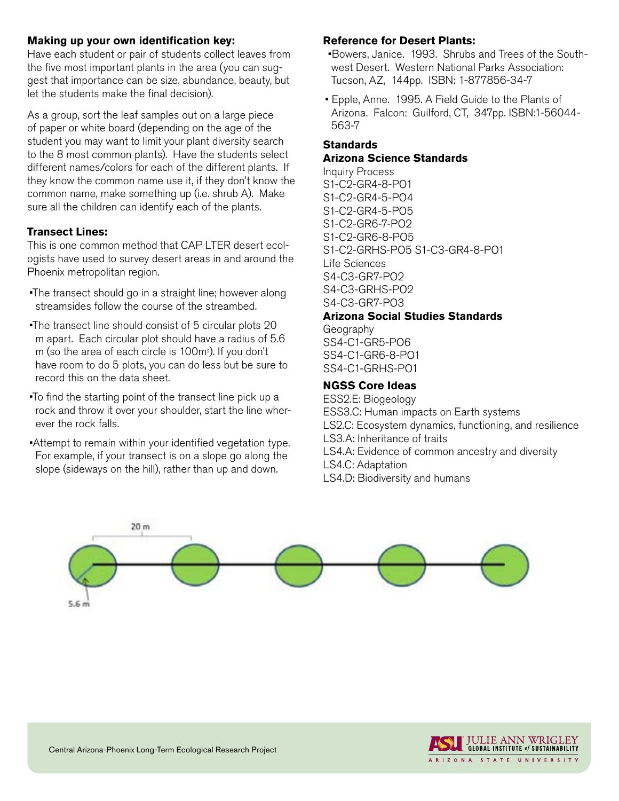## **Making up your own identification key:**

Have each student or pair of students collect leaves from the five most important plants in the area (you can suggest that importance can be size, abundance, beauty, but let the students make the final decision).

As a group, sort the leaf samples out on a large piece of paper or white board (depending on the age of the student you may want to limit your plant diversity search to the 8 most common plants). Have the students select different names/colors for each of the different plants. If they know the common name use it, if they don't know the common name, make something up (i.e. shrub A). Make sure all the children can identify each of the plants.

# **Transect Lines:**

This is one common method that CAP LTER desert ecologists have used to survey desert areas in and around the Phoenix metropolitan region.

- •The transect should go in a straight line; however along streamsides follow the course of the streambed.
- •The transect line should consist of 5 circular plots 20 m apart. Each circular plot should have a radius of 5.6 m (so the area of each circle is 100mº). If you don't have room to do 5 plots, you can do less but be sure to record this on the data sheet.
- •To find the starting point of the transect line pick up a rock and throw it over your shoulder, start the line wherever the rock falls.
- •Attempt to remain within your identified vegetation type. For example, if your transect is on a slope go along the slope (sideways on the hill), rather than up and down.

## **Reference for Desert Plants:**

 •Bowers, Janice. 1993. Shrubs and Trees of the Southwest Desert. Western National Parks Association: Tucson, AZ, 144pp. ISBN: 1-877856-34-7

• Epple, Anne. 1995. A Field Guide to the Plants of Arizona. Falcon: Guilford, CT, 347pp. ISBN:1-56044- 563-7

## **Standards**

#### **Arizona Science Standards**

Inquiry Process S1-C2-GR4-8-PO1 S1-C2-GR4-5-PO4 S1-C2-GR4-5-PO5 S1-C2-GR6-7-PO2 S1-C2-GR6-8-PO5 S1-C2-GRHS-PO5 S1-C3-GR4-8-PO1 Life Sciences S4-C3-GR7-PO2 S4-C3-GRHS-PO2 S4-C3-GR7-PO3

# **Arizona Social Studies Standards**

Geography SS4-C1-GR5-PO6 SS4-C1-GR6-8-PO1 SS4-C1-GRHS-PO1

### **NGSS Core Ideas**

ESS2.E: Biogeology ESS3.C: Human impacts on Earth systems LS2.C: Ecosystem dynamics, functioning, and resilience LS3.A: Inheritance of traits LS4.A: Evidence of common ancestry and diversity LS4.C: Adaptation LS4.D: Biodiversity and humans



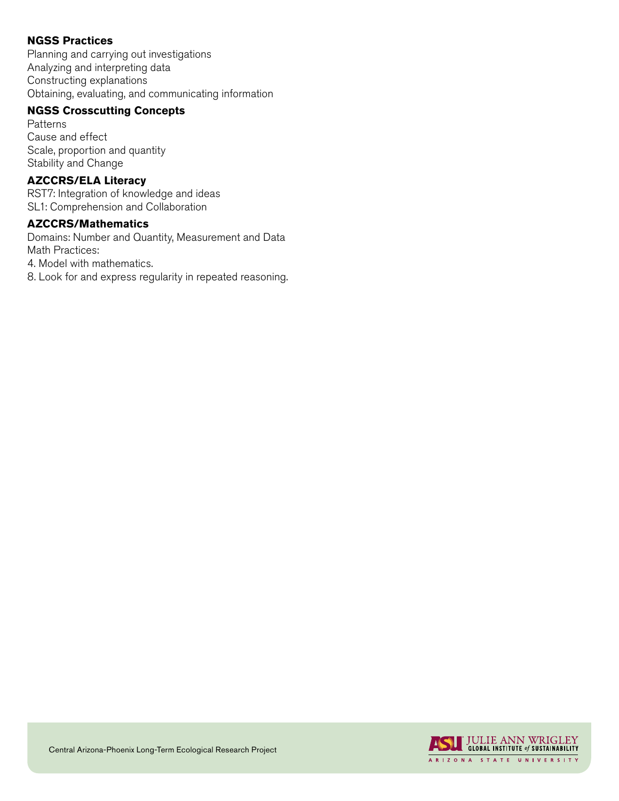# **NGSS Practices**

Planning and carrying out investigations Analyzing and interpreting data Constructing explanations Obtaining, evaluating, and communicating information

## **NGSS Crosscutting Concepts**

Patterns Cause and effect Scale, proportion and quantity Stability and Change

# **AZCCRS/ELA Literacy**

RST7: Integration of knowledge and ideas SL1: Comprehension and Collaboration

# **AZCCRS/Mathematics**

Domains: Number and Quantity, Measurement and Data Math Practices:

4. Model with mathematics.

8. Look for and express regularity in repeated reasoning.